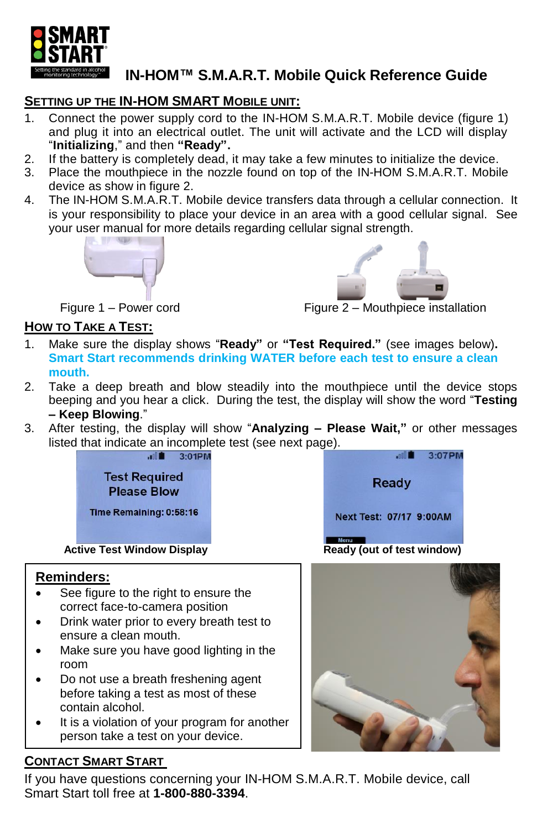

# **IN-HOM™ S.M.A.R.T. Mobile Quick Reference Guide**

### **SETTING UP THE IN-HOM SMART MOBILE UNIT:**

- 1. Connect the power supply cord to the IN-HOM S.M.A.R.T. Mobile device (figure 1) and plug it into an electrical outlet. The unit will activate and the LCD will display "**Initializing**," and then **"Ready".**
- 2. If the battery is completely dead, it may take a few minutes to initialize the device.
- 3. Place the mouthpiece in the nozzle found on top of the IN-HOM S.M.A.R.T. Mobile device as show in figure 2.
- 4. The IN-HOM S.M.A.R.T. Mobile device transfers data through a cellular connection. It is your responsibility to place your device in an area with a good cellular signal. See your user manual for more details regarding cellular signal strength.





Figure 1 - Power cord

Figure 2 – Mouthpiece installation

### **HOW TO TAKE A TEST:**

- 1. Make sure the display shows "**Ready"** or **"Test Required."** (see images below)**. Smart Start recommends drinking WATER before each test to ensure a clean mouth.**
- 2. Take a deep breath and blow steadily into the mouthpiece until the device stops beeping and you hear a click. During the test, the display will show the word "**Testing – Keep Blowing**."
- 3. After testing, the display will show "**Analyzing – Please Wait,"** or other messages listed that indicate an incomplete test (see next page). 3:07PM

**Illing**  $\frac{1}{2}$  3:01PM **Test Required** Ready **Please Blow** Time Remaining: 0:58:16 Next Test: 07/17 9:00AM Menu **San I Active Test Window Display Contract Ready (out of test window)** 

#### **Reminders:**

- See figure to the right to ensure the correct face-to-camera position
- Drink water prior to every breath test to ensure a clean mouth.
- Make sure you have good lighting in the room
- Do not use a breath freshening agent before taking a test as most of these contain alcohol.
- It is a violation of your program for another person take a test on your device.

## **CONTACT SMART START**

If you have questions concerning your IN-HOM S.M.A.R.T. Mobile device, call Smart Start toll free at **1-800-880-3394**.